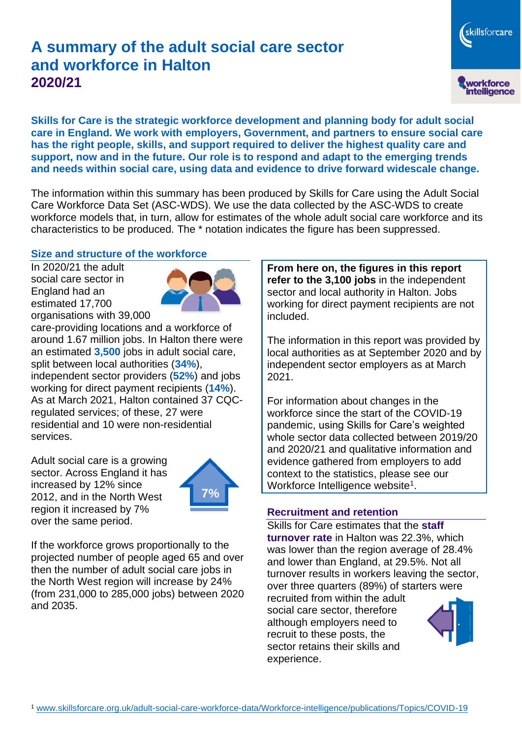# **A summary of the adult social care sector and workforce in Halton 2020/21**

skillsforcare workforce<br>intelligence

**Skills for Care is the strategic workforce development and planning body for adult social care in England. We work with employers, Government, and partners to ensure social care has the right people, skills, and support required to deliver the highest quality care and support, now and in the future. Our role is to respond and adapt to the emerging trends and needs within social care, using data and evidence to drive forward widescale change.**

The information within this summary has been produced by Skills for Care using the Adult Social Care Workforce Data Set (ASC-WDS). We use the data collected by the ASC-WDS to create workforce models that, in turn, allow for estimates of the whole adult social care workforce and its characteristics to be produced. The \* notation indicates the figure has been suppressed.

#### **Size and structure of the workforce**

In 2020/21 the adult social care sector in England had an estimated 17,700 organisations with 39,000



care-providing locations and a workforce of around 1.67 million jobs. In Halton there were an estimated **3,500** jobs in adult social care, split between local authorities (**34%**), independent sector providers (**52%**) and jobs working for direct payment recipients (**14%**). As at March 2021, Halton contained 37 CQCregulated services; of these, 27 were residential and 10 were non-residential services.

Adult social care is a growing sector. Across England it has increased by 12% since 2012, and in the North West region it increased by 7% over the same period.



If the workforce grows proportionally to the projected number of people aged 65 and over then the number of adult social care jobs in the North West region will increase by 24% (from 231,000 to 285,000 jobs) between 2020 and 2035.

**From here on, the figures in this report refer to the 3,100 jobs** in the independent sector and local authority in Halton. Jobs working for direct payment recipients are not included.

The information in this report was provided by local authorities as at September 2020 and by independent sector employers as at March 2021.

For information about changes in the workforce since the start of the COVID-19 pandemic, using Skills for Care's weighted whole sector data collected between 2019/20 and 2020/21 and qualitative information and evidence gathered from employers to add context to the statistics, please see our Workforce Intelligence website<sup>1</sup>.

#### **Recruitment and retention**

Skills for Care estimates that the **staff turnover rate** in Halton was 22.3%, which was lower than the region average of 28.4% and lower than England, at 29.5%. Not all turnover results in workers leaving the sector, over three quarters (89%) of starters were

recruited from within the adult social care sector, therefore although employers need to recruit to these posts, the sector retains their skills and experience.

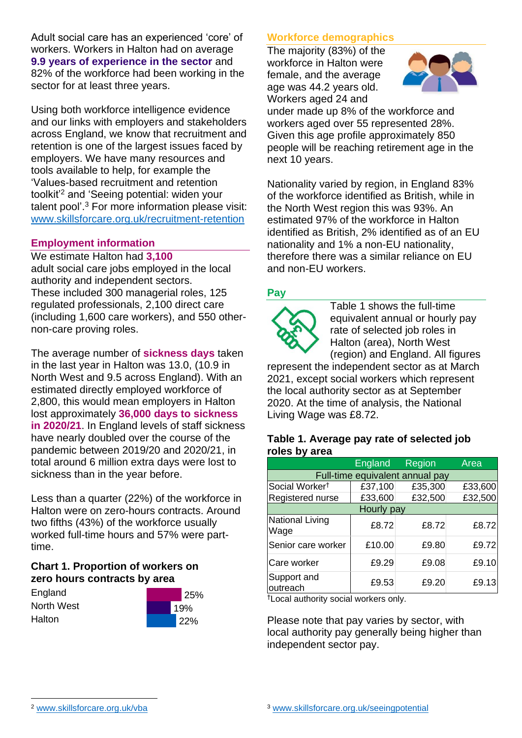Adult social care has an experienced 'core' of workers. Workers in Halton had on average **9.9 years of experience in the sector** and 82% of the workforce had been working in the sector for at least three years.

Using both workforce intelligence evidence and our links with employers and stakeholders across England, we know that recruitment and retention is one of the largest issues faced by employers. We have many resources and tools available to help, for example the 'Values-based recruitment and retention toolkit'<sup>2</sup> and 'Seeing potential: widen your talent pool'. <sup>3</sup> For more information please visit: [www.skillsforcare.org.uk/recruitment-retention](http://www.skillsforcare.org.uk/recruitment-retention)

#### **Employment information**

We estimate Halton had **3,100** adult social care jobs employed in the local authority and independent sectors. These included 300 managerial roles, 125 regulated professionals, 2,100 direct care (including 1,600 care workers), and 550 othernon-care proving roles.

The average number of **sickness days** taken in the last year in Halton was 13.0, (10.9 in North West and 9.5 across England). With an estimated directly employed workforce of 2,800, this would mean employers in Halton lost approximately **36,000 days to sickness in 2020/21**. In England levels of staff sickness have nearly doubled over the course of the pandemic between 2019/20 and 2020/21, in total around 6 million extra days were lost to sickness than in the year before.

Less than a quarter (22%) of the workforce in Halton were on zero-hours contracts. Around two fifths (43%) of the workforce usually worked full-time hours and 57% were parttime.

### **Chart 1. Proportion of workers on zero hours contracts by area**

**England** North West Halton



### **Workforce demographics**

The majority (83%) of the workforce in Halton were female, and the average age was 44.2 years old. Workers aged 24 and



under made up 8% of the workforce and workers aged over 55 represented 28%. Given this age profile approximately 850 people will be reaching retirement age in the next 10 years.

Nationality varied by region, in England 83% of the workforce identified as British, while in the North West region this was 93%. An estimated 97% of the workforce in Halton identified as British, 2% identified as of an EU nationality and 1% a non-EU nationality, therefore there was a similar reliance on EU and non-EU workers.

### **Pay**



Table 1 shows the full-time equivalent annual or hourly pay rate of selected job roles in Halton (area), North West (region) and England. All figures

represent the independent sector as at March 2021, except social workers which represent the local authority sector as at September 2020. At the time of analysis, the National Living Wage was £8.72.

#### **Table 1. Average pay rate of selected job roles by area**

|                                 | <b>England</b> | <b>Region</b> | Area    |
|---------------------------------|----------------|---------------|---------|
| Full-time equivalent annual pay |                |               |         |
| Social Worker <sup>t</sup>      | £37,100        | £35,300       | £33,600 |
| Registered nurse                | £33,600        | £32,500       | £32,500 |
| Hourly pay                      |                |               |         |
| National Living<br>Wage         | £8.72          | £8.72         | £8.72   |
| Senior care worker              | £10.00         | £9.80         | £9.72   |
| Care worker                     | £9.29          | £9.08         | £9.10   |
| Support and<br>outreach         | £9.53          | £9.20         | £9.13   |

†Local authority social workers only.

Please note that pay varies by sector, with local authority pay generally being higher than independent sector pay.

[www.skillsforcare.org.uk/vba](http://www.skillsforcare.org.uk/vba)